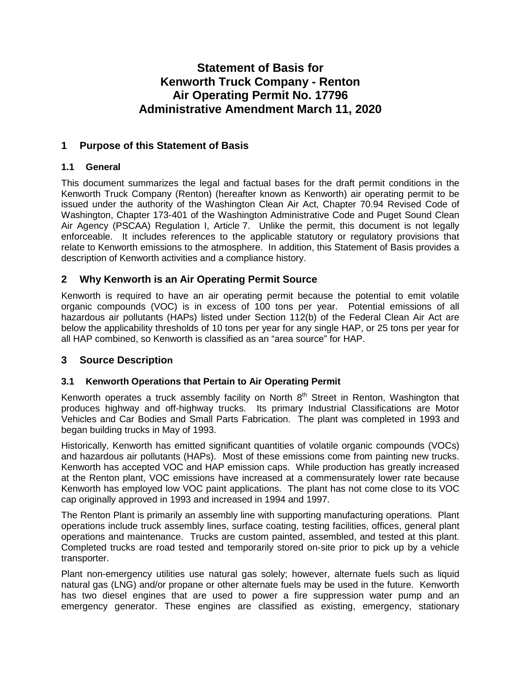# **Statement of Basis for Kenworth Truck Company - Renton Air Operating Permit No. 17796 Administrative Amendment March 11, 2020**

# **1 Purpose of this Statement of Basis**

### **1.1 General**

This document summarizes the legal and factual bases for the draft permit conditions in the Kenworth Truck Company (Renton) (hereafter known as Kenworth) air operating permit to be issued under the authority of the Washington Clean Air Act, Chapter 70.94 Revised Code of Washington, Chapter 173-401 of the Washington Administrative Code and Puget Sound Clean Air Agency (PSCAA) Regulation I, Article 7. Unlike the permit, this document is not legally enforceable. It includes references to the applicable statutory or regulatory provisions that relate to Kenworth emissions to the atmosphere. In addition, this Statement of Basis provides a description of Kenworth activities and a compliance history.

# **2 Why Kenworth is an Air Operating Permit Source**

Kenworth is required to have an air operating permit because the potential to emit volatile organic compounds (VOC) is in excess of 100 tons per year. Potential emissions of all hazardous air pollutants (HAPs) listed under Section 112(b) of the Federal Clean Air Act are below the applicability thresholds of 10 tons per year for any single HAP, or 25 tons per year for all HAP combined, so Kenworth is classified as an "area source" for HAP.

# **3 Source Description**

# **3.1 Kenworth Operations that Pertain to Air Operating Permit**

Kenworth operates a truck assembly facility on North  $8<sup>th</sup>$  Street in Renton, Washington that produces highway and off-highway trucks. Its primary Industrial Classifications are Motor Vehicles and Car Bodies and Small Parts Fabrication. The plant was completed in 1993 and began building trucks in May of 1993.

Historically, Kenworth has emitted significant quantities of volatile organic compounds (VOCs) and hazardous air pollutants (HAPs). Most of these emissions come from painting new trucks. Kenworth has accepted VOC and HAP emission caps. While production has greatly increased at the Renton plant, VOC emissions have increased at a commensurately lower rate because Kenworth has employed low VOC paint applications. The plant has not come close to its VOC cap originally approved in 1993 and increased in 1994 and 1997.

The Renton Plant is primarily an assembly line with supporting manufacturing operations. Plant operations include truck assembly lines, surface coating, testing facilities, offices, general plant operations and maintenance. Trucks are custom painted, assembled, and tested at this plant. Completed trucks are road tested and temporarily stored on-site prior to pick up by a vehicle transporter.

Plant non-emergency utilities use natural gas solely; however, alternate fuels such as liquid natural gas (LNG) and/or propane or other alternate fuels may be used in the future. Kenworth has two diesel engines that are used to power a fire suppression water pump and an emergency generator. These engines are classified as existing, emergency, stationary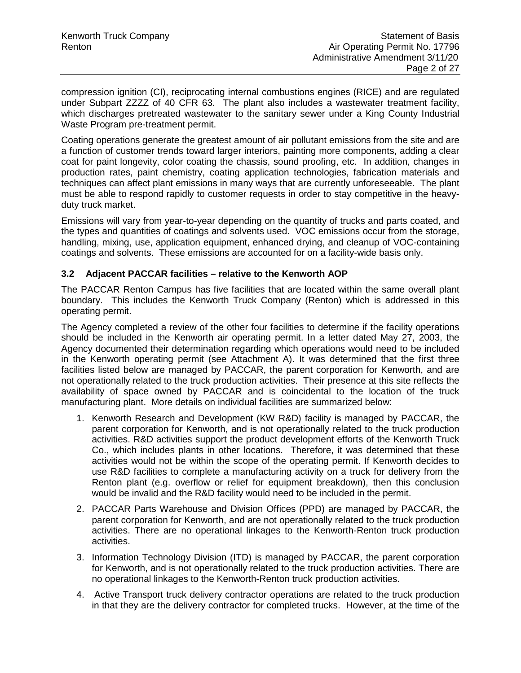compression ignition (CI), reciprocating internal combustions engines (RICE) and are regulated under Subpart ZZZZ of 40 CFR 63. The plant also includes a wastewater treatment facility, which discharges pretreated wastewater to the sanitary sewer under a King County Industrial Waste Program pre-treatment permit.

Coating operations generate the greatest amount of air pollutant emissions from the site and are a function of customer trends toward larger interiors, painting more components, adding a clear coat for paint longevity, color coating the chassis, sound proofing, etc. In addition, changes in production rates, paint chemistry, coating application technologies, fabrication materials and techniques can affect plant emissions in many ways that are currently unforeseeable. The plant must be able to respond rapidly to customer requests in order to stay competitive in the heavyduty truck market.

Emissions will vary from year-to-year depending on the quantity of trucks and parts coated, and the types and quantities of coatings and solvents used. VOC emissions occur from the storage, handling, mixing, use, application equipment, enhanced drying, and cleanup of VOC-containing coatings and solvents. These emissions are accounted for on a facility-wide basis only.

#### **3.2 Adjacent PACCAR facilities – relative to the Kenworth AOP**

The PACCAR Renton Campus has five facilities that are located within the same overall plant boundary. This includes the Kenworth Truck Company (Renton) which is addressed in this operating permit.

The Agency completed a review of the other four facilities to determine if the facility operations should be included in the Kenworth air operating permit. In a letter dated May 27, 2003, the Agency documented their determination regarding which operations would need to be included in the Kenworth operating permit (see Attachment A). It was determined that the first three facilities listed below are managed by PACCAR, the parent corporation for Kenworth, and are not operationally related to the truck production activities. Their presence at this site reflects the availability of space owned by PACCAR and is coincidental to the location of the truck manufacturing plant. More details on individual facilities are summarized below:

- 1. Kenworth Research and Development (KW R&D) facility is managed by PACCAR, the parent corporation for Kenworth, and is not operationally related to the truck production activities. R&D activities support the product development efforts of the Kenworth Truck Co., which includes plants in other locations. Therefore, it was determined that these activities would not be within the scope of the operating permit. If Kenworth decides to use R&D facilities to complete a manufacturing activity on a truck for delivery from the Renton plant (e.g. overflow or relief for equipment breakdown), then this conclusion would be invalid and the R&D facility would need to be included in the permit.
- 2. PACCAR Parts Warehouse and Division Offices (PPD) are managed by PACCAR, the parent corporation for Kenworth, and are not operationally related to the truck production activities. There are no operational linkages to the Kenworth-Renton truck production activities.
- 3. Information Technology Division (ITD) is managed by PACCAR, the parent corporation for Kenworth, and is not operationally related to the truck production activities. There are no operational linkages to the Kenworth-Renton truck production activities.
- 4. Active Transport truck delivery contractor operations are related to the truck production in that they are the delivery contractor for completed trucks. However, at the time of the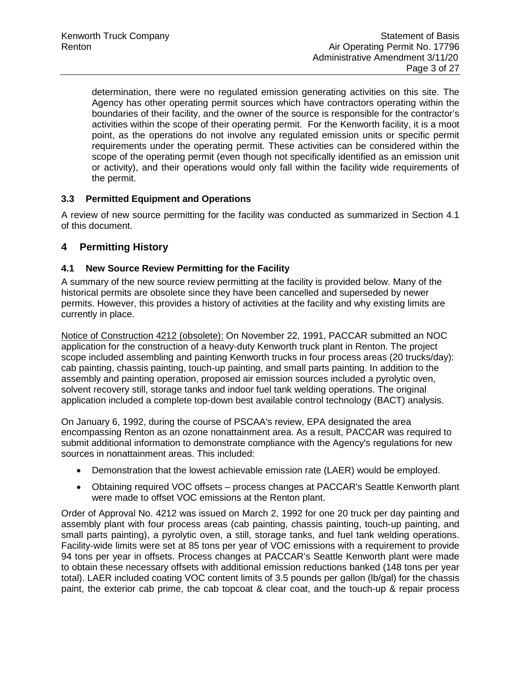determination, there were no regulated emission generating activities on this site. The Agency has other operating permit sources which have contractors operating within the boundaries of their facility, and the owner of the source is responsible for the contractor's activities within the scope of their operating permit. For the Kenworth facility, it is a moot point, as the operations do not involve any regulated emission units or specific permit requirements under the operating permit. These activities can be considered within the scope of the operating permit (even though not specifically identified as an emission unit or activity), and their operations would only fall within the facility wide requirements of the permit.

# **3.3 Permitted Equipment and Operations**

A review of new source permitting for the facility was conducted as summarized in Section 4.1 of this document.

# **4 Permitting History**

### **4.1 New Source Review Permitting for the Facility**

A summary of the new source review permitting at the facility is provided below. Many of the historical permits are obsolete since they have been cancelled and superseded by newer permits. However, this provides a history of activities at the facility and why existing limits are currently in place.

Notice of Construction 4212 (obsolete): On November 22, 1991, PACCAR submitted an NOC application for the construction of a heavy-duty Kenworth truck plant in Renton. The project scope included assembling and painting Kenworth trucks in four process areas (20 trucks/day): cab painting, chassis painting, touch-up painting, and small parts painting. In addition to the assembly and painting operation, proposed air emission sources included a pyrolytic oven, solvent recovery still, storage tanks and indoor fuel tank welding operations. The original application included a complete top-down best available control technology (BACT) analysis.

On January 6, 1992, during the course of PSCAA's review, EPA designated the area encompassing Renton as an ozone nonattainment area. As a result, PACCAR was required to submit additional information to demonstrate compliance with the Agency's regulations for new sources in nonattainment areas. This included:

- Demonstration that the lowest achievable emission rate (LAER) would be employed.
- Obtaining required VOC offsets process changes at PACCAR's Seattle Kenworth plant were made to offset VOC emissions at the Renton plant.

Order of Approval No. 4212 was issued on March 2, 1992 for one 20 truck per day painting and assembly plant with four process areas (cab painting, chassis painting, touch-up painting, and small parts painting), a pyrolytic oven, a still, storage tanks, and fuel tank welding operations. Facility-wide limits were set at 85 tons per year of VOC emissions with a requirement to provide 94 tons per year in offsets. Process changes at PACCAR's Seattle Kenworth plant were made to obtain these necessary offsets with additional emission reductions banked (148 tons per year total). LAER included coating VOC content limits of 3.5 pounds per gallon (lb/gal) for the chassis paint, the exterior cab prime, the cab topcoat & clear coat, and the touch-up & repair process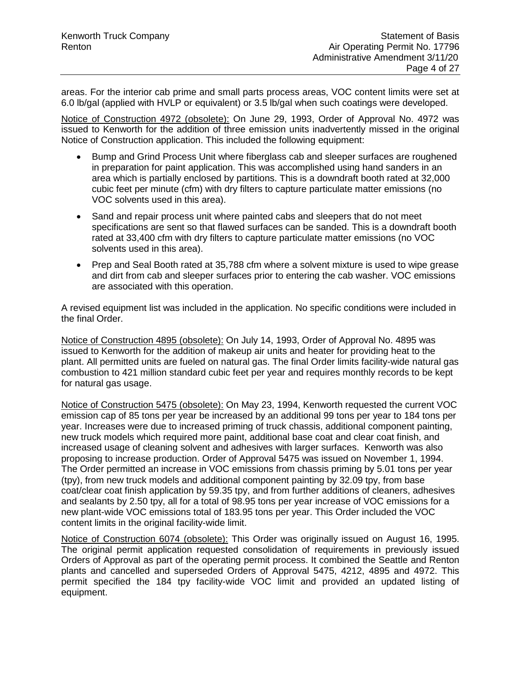areas. For the interior cab prime and small parts process areas, VOC content limits were set at 6.0 lb/gal (applied with HVLP or equivalent) or 3.5 lb/gal when such coatings were developed.

Notice of Construction 4972 (obsolete): On June 29, 1993, Order of Approval No. 4972 was issued to Kenworth for the addition of three emission units inadvertently missed in the original Notice of Construction application. This included the following equipment:

- Bump and Grind Process Unit where fiberglass cab and sleeper surfaces are roughened in preparation for paint application. This was accomplished using hand sanders in an area which is partially enclosed by partitions. This is a downdraft booth rated at 32,000 cubic feet per minute (cfm) with dry filters to capture particulate matter emissions (no VOC solvents used in this area).
- Sand and repair process unit where painted cabs and sleepers that do not meet specifications are sent so that flawed surfaces can be sanded. This is a downdraft booth rated at 33,400 cfm with dry filters to capture particulate matter emissions (no VOC solvents used in this area).
- Prep and Seal Booth rated at 35,788 cfm where a solvent mixture is used to wipe grease and dirt from cab and sleeper surfaces prior to entering the cab washer. VOC emissions are associated with this operation.

A revised equipment list was included in the application. No specific conditions were included in the final Order.

Notice of Construction 4895 (obsolete): On July 14, 1993, Order of Approval No. 4895 was issued to Kenworth for the addition of makeup air units and heater for providing heat to the plant. All permitted units are fueled on natural gas. The final Order limits facility-wide natural gas combustion to 421 million standard cubic feet per year and requires monthly records to be kept for natural gas usage.

Notice of Construction 5475 (obsolete): On May 23, 1994, Kenworth requested the current VOC emission cap of 85 tons per year be increased by an additional 99 tons per year to 184 tons per year. Increases were due to increased priming of truck chassis, additional component painting, new truck models which required more paint, additional base coat and clear coat finish, and increased usage of cleaning solvent and adhesives with larger surfaces. Kenworth was also proposing to increase production. Order of Approval 5475 was issued on November 1, 1994. The Order permitted an increase in VOC emissions from chassis priming by 5.01 tons per year (tpy), from new truck models and additional component painting by 32.09 tpy, from base coat/clear coat finish application by 59.35 tpy, and from further additions of cleaners, adhesives and sealants by 2.50 tpy, all for a total of 98.95 tons per year increase of VOC emissions for a new plant-wide VOC emissions total of 183.95 tons per year. This Order included the VOC content limits in the original facility-wide limit.

Notice of Construction 6074 (obsolete): This Order was originally issued on August 16, 1995. The original permit application requested consolidation of requirements in previously issued Orders of Approval as part of the operating permit process. It combined the Seattle and Renton plants and cancelled and superseded Orders of Approval 5475, 4212, 4895 and 4972. This permit specified the 184 tpy facility-wide VOC limit and provided an updated listing of equipment.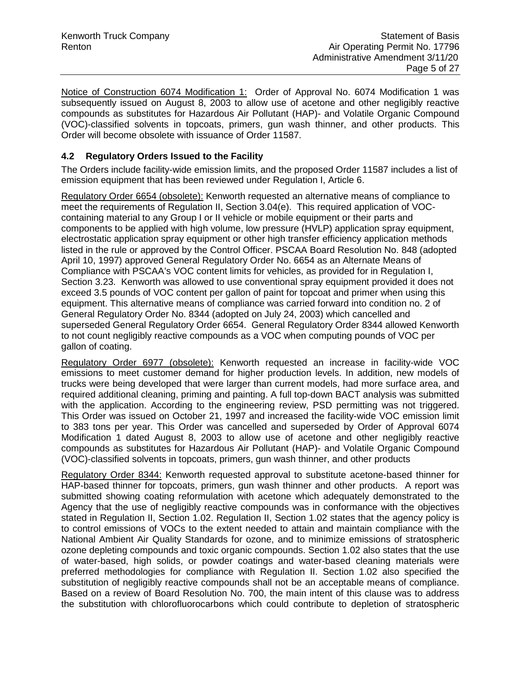Notice of Construction 6074 Modification 1: Order of Approval No. 6074 Modification 1 was subsequently issued on August 8, 2003 to allow use of acetone and other negligibly reactive compounds as substitutes for Hazardous Air Pollutant (HAP)- and Volatile Organic Compound (VOC)-classified solvents in topcoats, primers, gun wash thinner, and other products. This Order will become obsolete with issuance of Order 11587.

### **4.2 Regulatory Orders Issued to the Facility**

The Orders include facility-wide emission limits, and the proposed Order 11587 includes a list of emission equipment that has been reviewed under Regulation I, Article 6.

Regulatory Order 6654 (obsolete): Kenworth requested an alternative means of compliance to meet the requirements of Regulation II, Section 3.04(e). This required application of VOCcontaining material to any Group I or II vehicle or mobile equipment or their parts and components to be applied with high volume, low pressure (HVLP) application spray equipment, electrostatic application spray equipment or other high transfer efficiency application methods listed in the rule or approved by the Control Officer. PSCAA Board Resolution No. 848 (adopted April 10, 1997) approved General Regulatory Order No. 6654 as an Alternate Means of Compliance with PSCAA's VOC content limits for vehicles, as provided for in Regulation I, Section 3.23. Kenworth was allowed to use conventional spray equipment provided it does not exceed 3.5 pounds of VOC content per gallon of paint for topcoat and primer when using this equipment. This alternative means of compliance was carried forward into condition no. 2 of General Regulatory Order No. 8344 (adopted on July 24, 2003) which cancelled and superseded General Regulatory Order 6654. General Regulatory Order 8344 allowed Kenworth to not count negligibly reactive compounds as a VOC when computing pounds of VOC per gallon of coating.

Regulatory Order 6977 (obsolete): Kenworth requested an increase in facility-wide VOC emissions to meet customer demand for higher production levels. In addition, new models of trucks were being developed that were larger than current models, had more surface area, and required additional cleaning, priming and painting. A full top-down BACT analysis was submitted with the application. According to the engineering review, PSD permitting was not triggered. This Order was issued on October 21, 1997 and increased the facility-wide VOC emission limit to 383 tons per year. This Order was cancelled and superseded by Order of Approval 6074 Modification 1 dated August 8, 2003 to allow use of acetone and other negligibly reactive compounds as substitutes for Hazardous Air Pollutant (HAP)- and Volatile Organic Compound (VOC)-classified solvents in topcoats, primers, gun wash thinner, and other products

Regulatory Order 8344: Kenworth requested approval to substitute acetone-based thinner for HAP-based thinner for topcoats, primers, gun wash thinner and other products. A report was submitted showing coating reformulation with acetone which adequately demonstrated to the Agency that the use of negligibly reactive compounds was in conformance with the objectives stated in Regulation II, Section 1.02. Regulation II, Section 1.02 states that the agency policy is to control emissions of VOCs to the extent needed to attain and maintain compliance with the National Ambient Air Quality Standards for ozone, and to minimize emissions of stratospheric ozone depleting compounds and toxic organic compounds. Section 1.02 also states that the use of water-based, high solids, or powder coatings and water-based cleaning materials were preferred methodologies for compliance with Regulation II. Section 1.02 also specified the substitution of negligibly reactive compounds shall not be an acceptable means of compliance. Based on a review of Board Resolution No. 700, the main intent of this clause was to address the substitution with chlorofluorocarbons which could contribute to depletion of stratospheric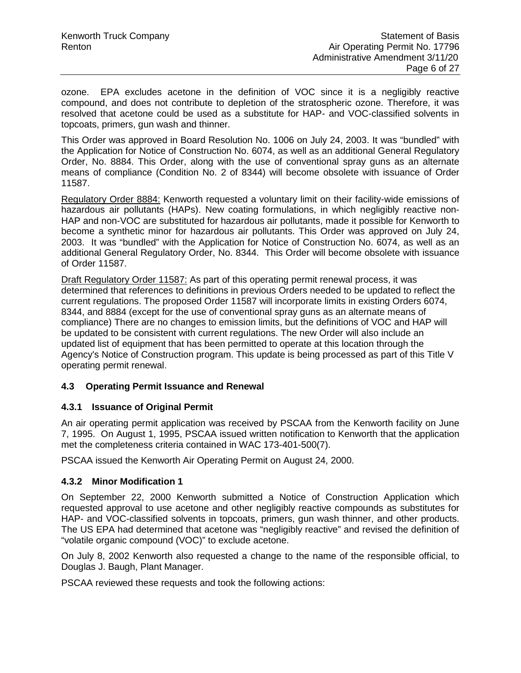ozone. EPA excludes acetone in the definition of VOC since it is a negligibly reactive compound, and does not contribute to depletion of the stratospheric ozone. Therefore, it was resolved that acetone could be used as a substitute for HAP- and VOC-classified solvents in topcoats, primers, gun wash and thinner.

This Order was approved in Board Resolution No. 1006 on July 24, 2003. It was "bundled" with the Application for Notice of Construction No. 6074, as well as an additional General Regulatory Order, No. 8884. This Order, along with the use of conventional spray guns as an alternate means of compliance (Condition No. 2 of 8344) will become obsolete with issuance of Order 11587.

Regulatory Order 8884: Kenworth requested a voluntary limit on their facility-wide emissions of hazardous air pollutants (HAPs). New coating formulations, in which negligibly reactive non-HAP and non-VOC are substituted for hazardous air pollutants, made it possible for Kenworth to become a synthetic minor for hazardous air pollutants. This Order was approved on July 24, 2003. It was "bundled" with the Application for Notice of Construction No. 6074, as well as an additional General Regulatory Order, No. 8344. This Order will become obsolete with issuance of Order 11587.

Draft Regulatory Order 11587: As part of this operating permit renewal process, it was determined that references to definitions in previous Orders needed to be updated to reflect the current regulations. The proposed Order 11587 will incorporate limits in existing Orders 6074, 8344, and 8884 (except for the use of conventional spray guns as an alternate means of compliance) There are no changes to emission limits, but the definitions of VOC and HAP will be updated to be consistent with current regulations. The new Order will also include an updated list of equipment that has been permitted to operate at this location through the Agency's Notice of Construction program. This update is being processed as part of this Title V operating permit renewal.

#### **4.3 Operating Permit Issuance and Renewal**

#### **4.3.1 Issuance of Original Permit**

An air operating permit application was received by PSCAA from the Kenworth facility on June 7, 1995. On August 1, 1995, PSCAA issued written notification to Kenworth that the application met the completeness criteria contained in WAC 173-401-500(7).

PSCAA issued the Kenworth Air Operating Permit on August 24, 2000.

#### **4.3.2 Minor Modification 1**

On September 22, 2000 Kenworth submitted a Notice of Construction Application which requested approval to use acetone and other negligibly reactive compounds as substitutes for HAP- and VOC-classified solvents in topcoats, primers, gun wash thinner, and other products. The US EPA had determined that acetone was "negligibly reactive" and revised the definition of "volatile organic compound (VOC)" to exclude acetone.

On July 8, 2002 Kenworth also requested a change to the name of the responsible official, to Douglas J. Baugh, Plant Manager.

PSCAA reviewed these requests and took the following actions: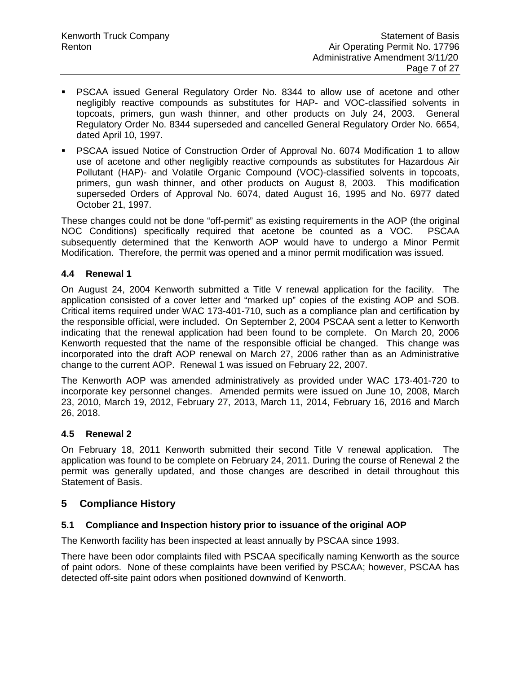- PSCAA issued General Regulatory Order No. 8344 to allow use of acetone and other negligibly reactive compounds as substitutes for HAP- and VOC-classified solvents in topcoats, primers, gun wash thinner, and other products on July 24, 2003. General Regulatory Order No. 8344 superseded and cancelled General Regulatory Order No. 6654, dated April 10, 1997.
- PSCAA issued Notice of Construction Order of Approval No. 6074 Modification 1 to allow use of acetone and other negligibly reactive compounds as substitutes for Hazardous Air Pollutant (HAP)- and Volatile Organic Compound (VOC)-classified solvents in topcoats, primers, gun wash thinner, and other products on August 8, 2003. This modification superseded Orders of Approval No. 6074, dated August 16, 1995 and No. 6977 dated October 21, 1997.

These changes could not be done "off-permit" as existing requirements in the AOP (the original NOC Conditions) specifically required that acetone be counted as a VOC. PSCAA subsequently determined that the Kenworth AOP would have to undergo a Minor Permit Modification. Therefore, the permit was opened and a minor permit modification was issued.

#### **4.4 Renewal 1**

On August 24, 2004 Kenworth submitted a Title V renewal application for the facility. The application consisted of a cover letter and "marked up" copies of the existing AOP and SOB. Critical items required under WAC 173-401-710, such as a compliance plan and certification by the responsible official, were included. On September 2, 2004 PSCAA sent a letter to Kenworth indicating that the renewal application had been found to be complete. On March 20, 2006 Kenworth requested that the name of the responsible official be changed. This change was incorporated into the draft AOP renewal on March 27, 2006 rather than as an Administrative change to the current AOP. Renewal 1 was issued on February 22, 2007.

The Kenworth AOP was amended administratively as provided under WAC 173-401-720 to incorporate key personnel changes. Amended permits were issued on June 10, 2008, March 23, 2010, March 19, 2012, February 27, 2013, March 11, 2014, February 16, 2016 and March 26, 2018.

#### **4.5 Renewal 2**

On February 18, 2011 Kenworth submitted their second Title V renewal application. The application was found to be complete on February 24, 2011. During the course of Renewal 2 the permit was generally updated, and those changes are described in detail throughout this Statement of Basis.

#### **5 Compliance History**

### **5.1 Compliance and Inspection history prior to issuance of the original AOP**

The Kenworth facility has been inspected at least annually by PSCAA since 1993.

There have been odor complaints filed with PSCAA specifically naming Kenworth as the source of paint odors. None of these complaints have been verified by PSCAA; however, PSCAA has detected off-site paint odors when positioned downwind of Kenworth.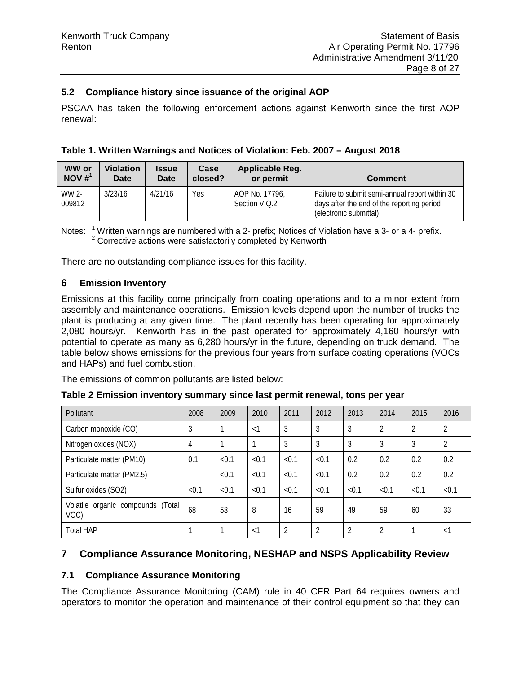#### **5.2 Compliance history since issuance of the original AOP**

PSCAA has taken the following enforcement actions against Kenworth since the first AOP renewal:

|  |  |  |  |  | Table 1. Written Warnings and Notices of Violation: Feb. 2007 - August 2018 |
|--|--|--|--|--|-----------------------------------------------------------------------------|
|--|--|--|--|--|-----------------------------------------------------------------------------|

| <b>WW or</b>       | <b>Violation</b> | <b>Issue</b> | Case    | Applicable Reg.                 | <b>Comment</b>                                                                                                         |
|--------------------|------------------|--------------|---------|---------------------------------|------------------------------------------------------------------------------------------------------------------------|
| NOV # <sup>1</sup> | Date             | <b>Date</b>  | closed? | or permit                       |                                                                                                                        |
| WW 2-<br>009812    | 3/23/16          | 4/21/16      | Yes     | AOP No. 17796.<br>Section V.O.2 | Failure to submit semi-annual report within 30<br>days after the end of the reporting period<br>(electronic submittal) |

Notes:  $\frac{1}{2}$  Written warnings are numbered with a 2- prefix; Notices of Violation have a 3- or a 4- prefix.<br><sup>2</sup> Corrective actions were satisfactorily completed by Kenworth

There are no outstanding compliance issues for this facility.

#### **6 Emission Inventory**

Emissions at this facility come principally from coating operations and to a minor extent from assembly and maintenance operations. Emission levels depend upon the number of trucks the plant is producing at any given time. The plant recently has been operating for approximately 2,080 hours/yr. Kenworth has in the past operated for approximately 4,160 hours/yr with potential to operate as many as 6,280 hours/yr in the future, depending on truck demand. The table below shows emissions for the previous four years from surface coating operations (VOCs and HAPs) and fuel combustion.

The emissions of common pollutants are listed below:

| Pollutant                                 | 2008           | 2009  | 2010     | 2011  | 2012           | 2013           | 2014           | 2015           | 2016           |
|-------------------------------------------|----------------|-------|----------|-------|----------------|----------------|----------------|----------------|----------------|
| Carbon monoxide (CO)                      | 3              |       | $\leq$ 1 | 3     | 3              | 3              | $\overline{2}$ | $\overline{2}$ | $\overline{2}$ |
| Nitrogen oxides (NOX)                     | $\overline{4}$ |       |          | 3     | 3              | 3              | 3              | 3              | 2              |
| Particulate matter (PM10)                 | 0.1            | < 0.1 | < 0.1    | < 0.1 | < 0.1          | 0.2            | 0.2            | 0.2            | 0.2            |
| Particulate matter (PM2.5)                |                | < 0.1 | < 0.1    | < 0.1 | < 0.1          | 0.2            | 0.2            | 0.2            | 0.2            |
| Sulfur oxides (SO2)                       | < 0.1          | < 0.1 | < 0.1    | < 0.1 | < 0.1          | < 0.1          | < 0.1          | < 0.1          | < 0.1          |
| Volatile organic compounds (Total<br>VOC) | 68             | 53    | 8        | 16    | 59             | 49             | 59             | 60             | 33             |
| <b>Total HAP</b>                          |                |       | $\lt$ 1  | 2     | $\overline{2}$ | $\overline{2}$ | $\overline{2}$ |                | $\lt$ 1        |

**Table 2 Emission inventory summary since last permit renewal, tons per year**

# **7 Compliance Assurance Monitoring, NESHAP and NSPS Applicability Review**

#### **7.1 Compliance Assurance Monitoring**

The Compliance Assurance Monitoring (CAM) rule in 40 CFR Part 64 requires owners and operators to monitor the operation and maintenance of their control equipment so that they can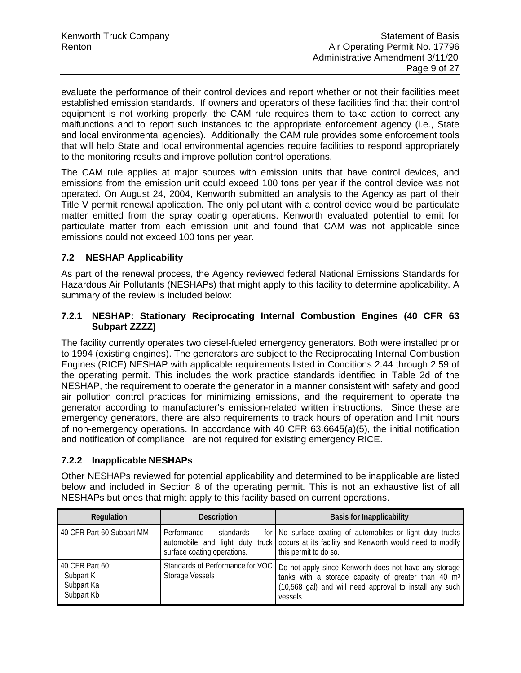evaluate the performance of their control devices and report whether or not their facilities meet established emission standards. If owners and operators of these facilities find that their control equipment is not working properly, the CAM rule requires them to take action to correct any malfunctions and to report such instances to the appropriate enforcement agency (i.e., State and local environmental agencies). Additionally, the CAM rule provides some enforcement tools that will help State and local environmental agencies require facilities to respond appropriately to the monitoring results and improve pollution control operations.

The CAM rule applies at major sources with emission units that have control devices, and emissions from the emission unit could exceed 100 tons per year if the control device was not operated. On August 24, 2004, Kenworth submitted an analysis to the Agency as part of their Title V permit renewal application. The only pollutant with a control device would be particulate matter emitted from the spray coating operations. Kenworth evaluated potential to emit for particulate matter from each emission unit and found that CAM was not applicable since emissions could not exceed 100 tons per year.

# **7.2 NESHAP Applicability**

As part of the renewal process, the Agency reviewed federal National Emissions Standards for Hazardous Air Pollutants (NESHAPs) that might apply to this facility to determine applicability. A summary of the review is included below:

#### **7.2.1 NESHAP: Stationary Reciprocating Internal Combustion Engines (40 CFR 63 Subpart ZZZZ)**

The facility currently operates two diesel-fueled emergency generators. Both were installed prior to 1994 (existing engines). The generators are subject to the Reciprocating Internal Combustion Engines (RICE) NESHAP with applicable requirements listed in Conditions 2.44 through 2.59 of the operating permit. This includes the work practice standards identified in Table 2d of the NESHAP, the requirement to operate the generator in a manner consistent with safety and good air pollution control practices for minimizing emissions, and the requirement to operate the generator according to manufacturer's emission-related written instructions. Since these are emergency generators, there are also requirements to track hours of operation and limit hours of non-emergency operations. In accordance with 40 CFR 63.6645(a)(5), the initial notification and notification of compliance are not required for existing emergency RICE.

#### **7.2.2 Inapplicable NESHAPs**

Other NESHAPs reviewed for potential applicability and determined to be inapplicable are listed below and included in Section 8 of the operating permit. This is not an exhaustive list of all NESHAPs but ones that might apply to this facility based on current operations.

| Regulation                                               | <b>Description</b>                                                                   | <b>Basis for Inapplicability</b>                                                                                                                                                                |
|----------------------------------------------------------|--------------------------------------------------------------------------------------|-------------------------------------------------------------------------------------------------------------------------------------------------------------------------------------------------|
| 40 CFR Part 60 Subpart MM                                | Performance<br>standards<br>automobile and light duty<br>surface coating operations. | for   No surface coating of automobiles or light duty trucks  <br>truck occurs at its facility and Kenworth would need to modify<br>this permit to do so.                                       |
| 40 CFR Part 60:<br>Subpart K<br>Subpart Ka<br>Subpart Kb | Standards of Performance for VOC<br>Storage Vessels                                  | Do not apply since Kenworth does not have any storage<br>tanks with a storage capacity of greater than 40 m <sup>3</sup><br>(10,568 gal) and will need approval to install any such<br>vessels. |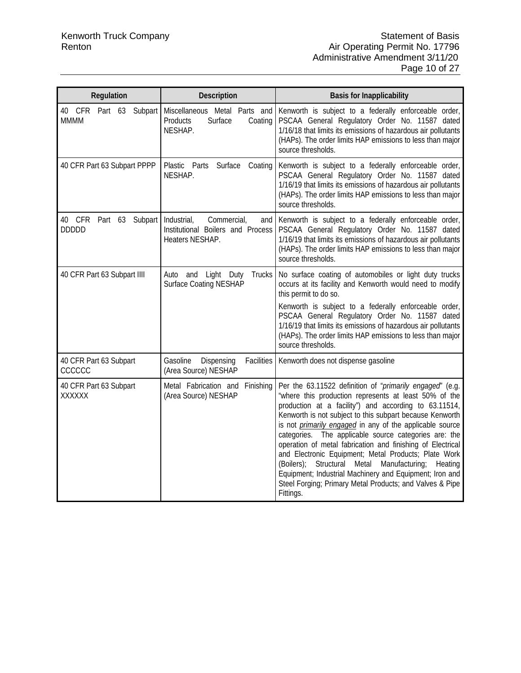| Regulation                                   | Description                                                                               | <b>Basis for Inapplicability</b>                                                                                                                                                                                                                                                                                                                                                                                                                                                                                                                                                                                                                                                        |
|----------------------------------------------|-------------------------------------------------------------------------------------------|-----------------------------------------------------------------------------------------------------------------------------------------------------------------------------------------------------------------------------------------------------------------------------------------------------------------------------------------------------------------------------------------------------------------------------------------------------------------------------------------------------------------------------------------------------------------------------------------------------------------------------------------------------------------------------------------|
| 40 CFR Part 63 Subpart<br><b>MMMM</b>        | Miscellaneous Metal Parts and<br>Products<br>Surface<br>Coating<br>NESHAP.                | Kenworth is subject to a federally enforceable order,<br>PSCAA General Regulatory Order No. 11587 dated<br>1/16/18 that limits its emissions of hazardous air pollutants<br>(HAPs). The order limits HAP emissions to less than major<br>source thresholds.                                                                                                                                                                                                                                                                                                                                                                                                                             |
| 40 CFR Part 63 Subpart PPPP                  | Plastic Parts Surface<br>Coating<br>NESHAP.                                               | Kenworth is subject to a federally enforceable order,<br>PSCAA General Regulatory Order No. 11587 dated<br>1/16/19 that limits its emissions of hazardous air pollutants<br>(HAPs). The order limits HAP emissions to less than major<br>source thresholds.                                                                                                                                                                                                                                                                                                                                                                                                                             |
| 40 CFR<br>Part 63<br>Subpart<br><b>DDDDD</b> | Industrial,<br>Commercial,<br>and<br>Institutional Boilers and Process<br>Heaters NESHAP. | Kenworth is subject to a federally enforceable order,<br>PSCAA General Regulatory Order No. 11587 dated<br>1/16/19 that limits its emissions of hazardous air pollutants<br>(HAPs). The order limits HAP emissions to less than major<br>source thresholds.                                                                                                                                                                                                                                                                                                                                                                                                                             |
| 40 CFR Part 63 Subpart IIII                  | and Light Duty<br>Trucks<br>Auto<br><b>Surface Coating NESHAP</b>                         | No surface coating of automobiles or light duty trucks<br>occurs at its facility and Kenworth would need to modify<br>this permit to do so.<br>Kenworth is subject to a federally enforceable order,<br>PSCAA General Regulatory Order No. 11587 dated<br>1/16/19 that limits its emissions of hazardous air pollutants<br>(HAPs). The order limits HAP emissions to less than major<br>source thresholds.                                                                                                                                                                                                                                                                              |
| 40 CFR Part 63 Subpart<br>CCCCCC             | Dispensing<br>Facilities<br>Gasoline<br>(Area Source) NESHAP                              | Kenworth does not dispense gasoline                                                                                                                                                                                                                                                                                                                                                                                                                                                                                                                                                                                                                                                     |
| 40 CFR Part 63 Subpart<br>XXXXXX             | Metal Fabrication and<br>Finishing<br>(Area Source) NESHAP                                | Per the 63.11522 definition of "primarily engaged" (e.g.<br>"where this production represents at least 50% of the<br>production at a facility") and according to 63.11514,<br>Kenworth is not subject to this subpart because Kenworth<br>is not primarily engaged in any of the applicable source<br>The applicable source categories are: the<br>categories.<br>operation of metal fabrication and finishing of Electrical<br>and Electronic Equipment; Metal Products; Plate Work<br>(Boilers);<br>Structural Metal<br>Manufacturing;<br>Heating<br>Equipment; Industrial Machinery and Equipment; Iron and<br>Steel Forging; Primary Metal Products; and Valves & Pipe<br>Fittings. |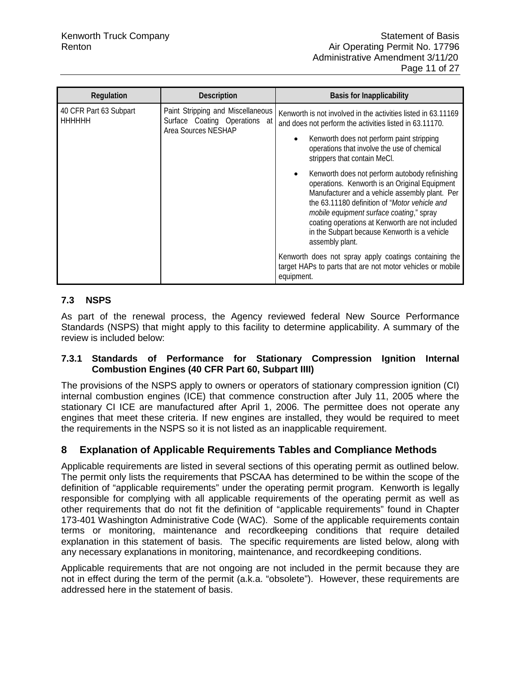| Regulation                              | <b>Description</b>                                                                        | <b>Basis for Inapplicability</b>                                                                                                                                                                                                                                                                                                                                                                                                                                                                                                                                                                                             |
|-----------------------------------------|-------------------------------------------------------------------------------------------|------------------------------------------------------------------------------------------------------------------------------------------------------------------------------------------------------------------------------------------------------------------------------------------------------------------------------------------------------------------------------------------------------------------------------------------------------------------------------------------------------------------------------------------------------------------------------------------------------------------------------|
| 40 CFR Part 63 Subpart<br><b>HHHHHH</b> | Paint Stripping and Miscellaneous<br>Surface Coating Operations at<br>Area Sources NESHAP | Kenworth is not involved in the activities listed in 63.11169<br>and does not perform the activities listed in 63.11170.<br>Kenworth does not perform paint stripping<br>operations that involve the use of chemical<br>strippers that contain MeCl.<br>Kenworth does not perform autobody refinishing<br>operations. Kenworth is an Original Equipment<br>Manufacturer and a vehicle assembly plant. Per<br>the 63.11180 definition of "Motor vehicle and<br>mobile equipment surface coating," spray<br>coating operations at Kenworth are not included<br>in the Subpart because Kenworth is a vehicle<br>assembly plant. |
|                                         |                                                                                           | Kenworth does not spray apply coatings containing the<br>target HAPs to parts that are not motor vehicles or mobile<br>equipment.                                                                                                                                                                                                                                                                                                                                                                                                                                                                                            |

# **7.3 NSPS**

As part of the renewal process, the Agency reviewed federal New Source Performance Standards (NSPS) that might apply to this facility to determine applicability. A summary of the review is included below:

#### **7.3.1 Standards of Performance for Stationary Compression Ignition Internal Combustion Engines (40 CFR Part 60, Subpart IIII)**

The provisions of the NSPS apply to owners or operators of stationary compression ignition (CI) internal combustion engines (ICE) that commence construction after July 11, 2005 where the stationary CI ICE are manufactured after April 1, 2006. The permittee does not operate any engines that meet these criteria. If new engines are installed, they would be required to meet the requirements in the NSPS so it is not listed as an inapplicable requirement.

# **8 Explanation of Applicable Requirements Tables and Compliance Methods**

Applicable requirements are listed in several sections of this operating permit as outlined below. The permit only lists the requirements that PSCAA has determined to be within the scope of the definition of "applicable requirements" under the operating permit program. Kenworth is legally responsible for complying with all applicable requirements of the operating permit as well as other requirements that do not fit the definition of "applicable requirements" found in Chapter 173-401 Washington Administrative Code (WAC). Some of the applicable requirements contain terms or monitoring, maintenance and recordkeeping conditions that require detailed explanation in this statement of basis. The specific requirements are listed below, along with any necessary explanations in monitoring, maintenance, and recordkeeping conditions.

Applicable requirements that are not ongoing are not included in the permit because they are not in effect during the term of the permit (a.k.a. "obsolete"). However, these requirements are addressed here in the statement of basis.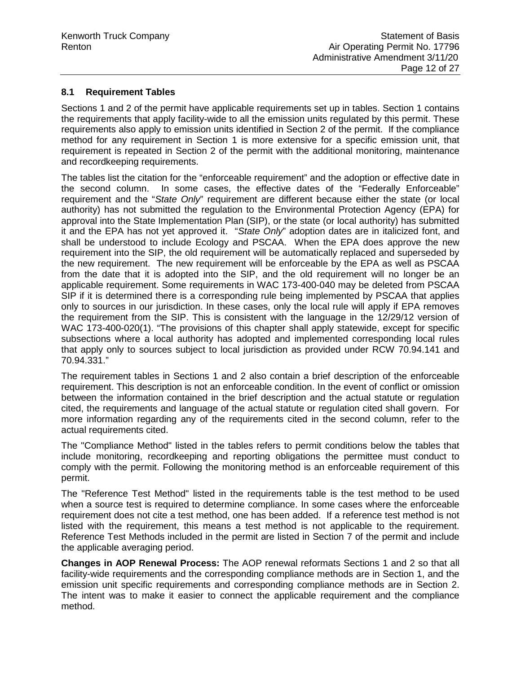#### **8.1 Requirement Tables**

Sections 1 and 2 of the permit have applicable requirements set up in tables. Section 1 contains the requirements that apply facility-wide to all the emission units regulated by this permit. These requirements also apply to emission units identified in Section 2 of the permit. If the compliance method for any requirement in Section 1 is more extensive for a specific emission unit, that requirement is repeated in Section 2 of the permit with the additional monitoring, maintenance and recordkeeping requirements.

The tables list the citation for the "enforceable requirement" and the adoption or effective date in the second column. In some cases, the effective dates of the "Federally Enforceable" requirement and the "*State Only*" requirement are different because either the state (or local authority) has not submitted the regulation to the Environmental Protection Agency (EPA) for approval into the State Implementation Plan (SIP), or the state (or local authority) has submitted it and the EPA has not yet approved it. "*State Only*" adoption dates are in italicized font, and shall be understood to include Ecology and PSCAA. When the EPA does approve the new requirement into the SIP, the old requirement will be automatically replaced and superseded by the new requirement. The new requirement will be enforceable by the EPA as well as PSCAA from the date that it is adopted into the SIP, and the old requirement will no longer be an applicable requirement. Some requirements in WAC 173-400-040 may be deleted from PSCAA SIP if it is determined there is a corresponding rule being implemented by PSCAA that applies only to sources in our jurisdiction. In these cases, only the local rule will apply if EPA removes the requirement from the SIP. This is consistent with the language in the 12/29/12 version of WAC 173-400-020(1). "The provisions of this chapter shall apply statewide, except for specific subsections where a local authority has adopted and implemented corresponding local rules that apply only to sources subject to local jurisdiction as provided under RCW 70.94.141 and 70.94.331."

The requirement tables in Sections 1 and 2 also contain a brief description of the enforceable requirement. This description is not an enforceable condition. In the event of conflict or omission between the information contained in the brief description and the actual statute or regulation cited, the requirements and language of the actual statute or regulation cited shall govern. For more information regarding any of the requirements cited in the second column, refer to the actual requirements cited.

The "Compliance Method" listed in the tables refers to permit conditions below the tables that include monitoring, recordkeeping and reporting obligations the permittee must conduct to comply with the permit. Following the monitoring method is an enforceable requirement of this permit.

The "Reference Test Method" listed in the requirements table is the test method to be used when a source test is required to determine compliance. In some cases where the enforceable requirement does not cite a test method, one has been added. If a reference test method is not listed with the requirement, this means a test method is not applicable to the requirement. Reference Test Methods included in the permit are listed in Section 7 of the permit and include the applicable averaging period.

**Changes in AOP Renewal Process:** The AOP renewal reformats Sections 1 and 2 so that all facility-wide requirements and the corresponding compliance methods are in Section 1, and the emission unit specific requirements and corresponding compliance methods are in Section 2. The intent was to make it easier to connect the applicable requirement and the compliance method.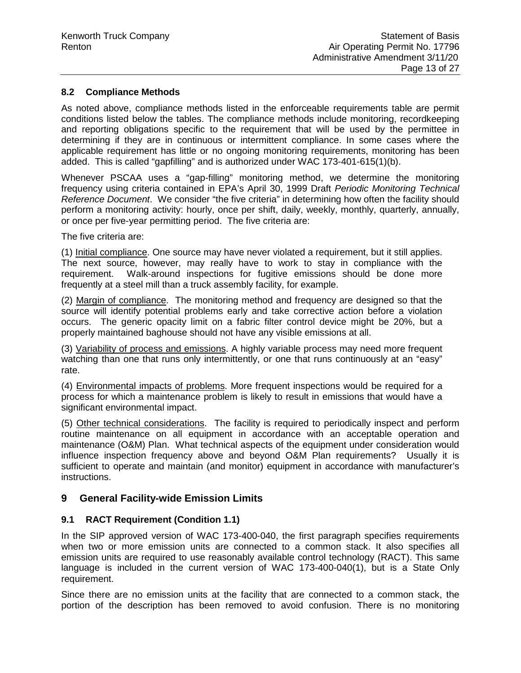#### **8.2 Compliance Methods**

As noted above, compliance methods listed in the enforceable requirements table are permit conditions listed below the tables. The compliance methods include monitoring, recordkeeping and reporting obligations specific to the requirement that will be used by the permittee in determining if they are in continuous or intermittent compliance. In some cases where the applicable requirement has little or no ongoing monitoring requirements, monitoring has been added. This is called "gapfilling" and is authorized under WAC 173-401-615(1)(b).

Whenever PSCAA uses a "gap-filling" monitoring method, we determine the monitoring frequency using criteria contained in EPA's April 30, 1999 Draft *Periodic Monitoring Technical Reference Document*. We consider "the five criteria" in determining how often the facility should perform a monitoring activity: hourly, once per shift, daily, weekly, monthly, quarterly, annually, or once per five-year permitting period. The five criteria are:

The five criteria are:

(1) Initial compliance. One source may have never violated a requirement, but it still applies. The next source, however, may really have to work to stay in compliance with the requirement. Walk-around inspections for fugitive emissions should be done more frequently at a steel mill than a truck assembly facility, for example.

(2) Margin of compliance. The monitoring method and frequency are designed so that the source will identify potential problems early and take corrective action before a violation occurs. The generic opacity limit on a fabric filter control device might be 20%, but a properly maintained baghouse should not have any visible emissions at all.

(3) Variability of process and emissions. A highly variable process may need more frequent watching than one that runs only intermittently, or one that runs continuously at an "easy" rate.

(4) Environmental impacts of problems. More frequent inspections would be required for a process for which a maintenance problem is likely to result in emissions that would have a significant environmental impact.

(5) Other technical considerations. The facility is required to periodically inspect and perform routine maintenance on all equipment in accordance with an acceptable operation and maintenance (O&M) Plan. What technical aspects of the equipment under consideration would influence inspection frequency above and beyond O&M Plan requirements? Usually it is sufficient to operate and maintain (and monitor) equipment in accordance with manufacturer's instructions.

#### **9 General Facility-wide Emission Limits**

#### **9.1 RACT Requirement (Condition 1.1)**

In the SIP approved version of WAC 173-400-040, the first paragraph specifies requirements when two or more emission units are connected to a common stack. It also specifies all emission units are required to use reasonably available control technology (RACT). This same language is included in the current version of WAC 173-400-040(1), but is a State Only requirement.

Since there are no emission units at the facility that are connected to a common stack, the portion of the description has been removed to avoid confusion. There is no monitoring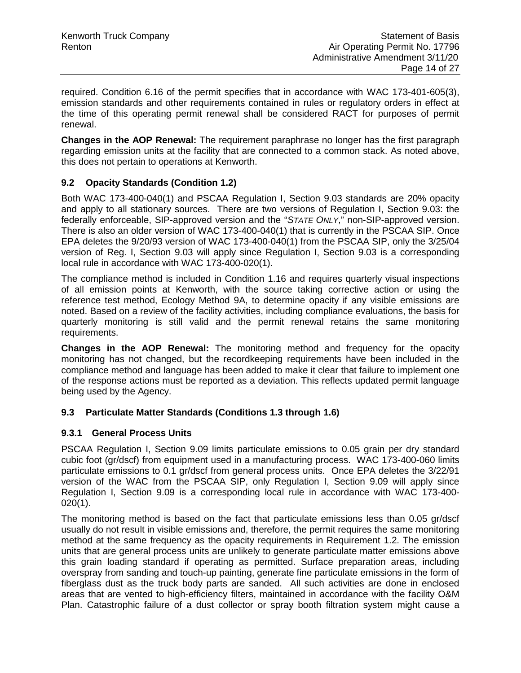required. Condition 6.16 of the permit specifies that in accordance with WAC 173-401-605(3), emission standards and other requirements contained in rules or regulatory orders in effect at the time of this operating permit renewal shall be considered RACT for purposes of permit renewal.

**Changes in the AOP Renewal:** The requirement paraphrase no longer has the first paragraph regarding emission units at the facility that are connected to a common stack. As noted above, this does not pertain to operations at Kenworth.

### **9.2 Opacity Standards (Condition 1.2)**

Both WAC 173-400-040(1) and PSCAA Regulation I, Section 9.03 standards are 20% opacity and apply to all stationary sources. There are two versions of Regulation I, Section 9.03: the federally enforceable, SIP-approved version and the "*STATE ONLY*," non-SIP-approved version. There is also an older version of WAC 173-400-040(1) that is currently in the PSCAA SIP. Once EPA deletes the 9/20/93 version of WAC 173-400-040(1) from the PSCAA SIP, only the 3/25/04 version of Reg. I, Section 9.03 will apply since Regulation I, Section 9.03 is a corresponding local rule in accordance with WAC 173-400-020(1)*.*

The compliance method is included in Condition 1.16 and requires quarterly visual inspections of all emission points at Kenworth, with the source taking corrective action or using the reference test method, Ecology Method 9A, to determine opacity if any visible emissions are noted. Based on a review of the facility activities, including compliance evaluations, the basis for quarterly monitoring is still valid and the permit renewal retains the same monitoring requirements.

**Changes in the AOP Renewal:** The monitoring method and frequency for the opacity monitoring has not changed, but the recordkeeping requirements have been included in the compliance method and language has been added to make it clear that failure to implement one of the response actions must be reported as a deviation. This reflects updated permit language being used by the Agency.

#### **9.3 Particulate Matter Standards (Conditions 1.3 through 1.6)**

#### **9.3.1 General Process Units**

PSCAA Regulation I, Section 9.09 limits particulate emissions to 0.05 grain per dry standard cubic foot (gr/dscf) from equipment used in a manufacturing process. WAC 173-400-060 limits particulate emissions to 0.1 gr/dscf from general process units. Once EPA deletes the 3/22/91 version of the WAC from the PSCAA SIP, only Regulation I, Section 9.09 will apply since Regulation I, Section 9.09 is a corresponding local rule in accordance with WAC 173-400- 020(1).

The monitoring method is based on the fact that particulate emissions less than 0.05 gr/dscf usually do not result in visible emissions and, therefore, the permit requires the same monitoring method at the same frequency as the opacity requirements in Requirement 1.2. The emission units that are general process units are unlikely to generate particulate matter emissions above this grain loading standard if operating as permitted. Surface preparation areas, including overspray from sanding and touch-up painting, generate fine particulate emissions in the form of fiberglass dust as the truck body parts are sanded. All such activities are done in enclosed areas that are vented to high-efficiency filters, maintained in accordance with the facility O&M Plan. Catastrophic failure of a dust collector or spray booth filtration system might cause a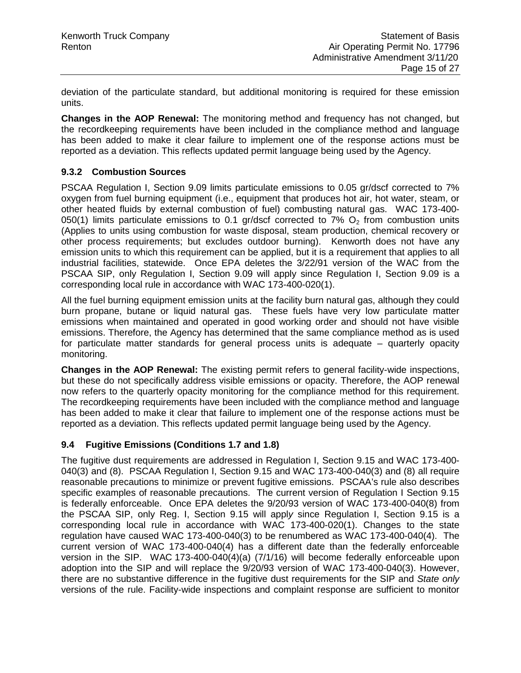deviation of the particulate standard, but additional monitoring is required for these emission units.

**Changes in the AOP Renewal:** The monitoring method and frequency has not changed, but the recordkeeping requirements have been included in the compliance method and language has been added to make it clear failure to implement one of the response actions must be reported as a deviation. This reflects updated permit language being used by the Agency.

#### **9.3.2 Combustion Sources**

PSCAA Regulation I, Section 9.09 limits particulate emissions to 0.05 gr/dscf corrected to 7% oxygen from fuel burning equipment (i.e., equipment that produces hot air, hot water, steam, or other heated fluids by external combustion of fuel) combusting natural gas. WAC 173-400- 050(1) limits particulate emissions to 0.1 gr/dscf corrected to 7%  $O<sub>2</sub>$  from combustion units (Applies to units using combustion for waste disposal, steam production, chemical recovery or other process requirements; but excludes outdoor burning). Kenworth does not have any emission units to which this requirement can be applied, but it is a requirement that applies to all industrial facilities, statewide. Once EPA deletes the 3/22/91 version of the WAC from the PSCAA SIP, only Regulation I, Section 9.09 will apply since Regulation I, Section 9.09 is a corresponding local rule in accordance with WAC 173-400-020(1).

All the fuel burning equipment emission units at the facility burn natural gas, although they could burn propane, butane or liquid natural gas. These fuels have very low particulate matter emissions when maintained and operated in good working order and should not have visible emissions. Therefore, the Agency has determined that the same compliance method as is used for particulate matter standards for general process units is adequate – quarterly opacity monitoring.

**Changes in the AOP Renewal:** The existing permit refers to general facility-wide inspections, but these do not specifically address visible emissions or opacity. Therefore, the AOP renewal now refers to the quarterly opacity monitoring for the compliance method for this requirement. The recordkeeping requirements have been included with the compliance method and language has been added to make it clear that failure to implement one of the response actions must be reported as a deviation. This reflects updated permit language being used by the Agency.

#### **9.4 Fugitive Emissions (Conditions 1.7 and 1.8)**

The fugitive dust requirements are addressed in Regulation I, Section 9.15 and WAC 173-400- 040(3) and (8). PSCAA Regulation I, Section 9.15 and WAC 173-400-040(3) and (8) all require reasonable precautions to minimize or prevent fugitive emissions. PSCAA's rule also describes specific examples of reasonable precautions. The current version of Regulation I Section 9.15 is federally enforceable. Once EPA deletes the 9/20/93 version of WAC 173-400-040(8) from the PSCAA SIP, only Reg. I, Section 9.15 will appl*y* since Regulation I, Section 9.15 is a corresponding local rule in accordance with WAC 173-400-020(1). Changes to the state regulation have caused WAC 173-400-040(3) to be renumbered as WAC 173-400-040(4). The current version of WAC 173-400-040(4) has a different date than the federally enforceable version in the SIP. WAC 173-400-040(4)(a) (7/1/16) will become federally enforceable upon adoption into the SIP and will replace the 9/20/93 version of WAC 173-400-040(3). However, there are no substantive difference in the fugitive dust requirements for the SIP and *State only*  versions of the rule. Facility-wide inspections and complaint response are sufficient to monitor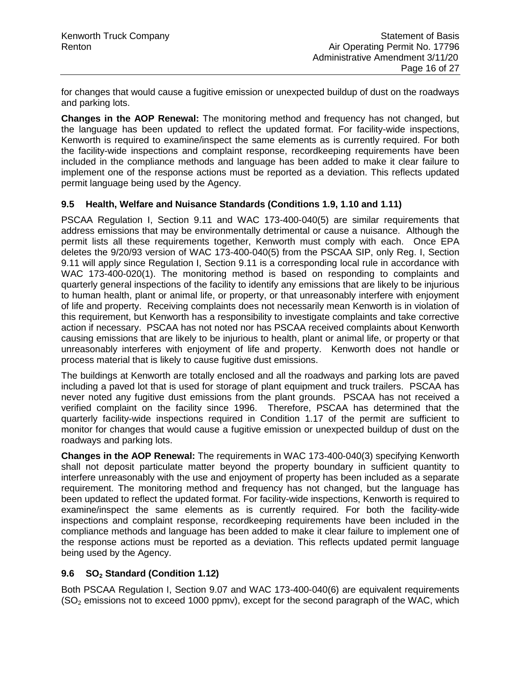for changes that would cause a fugitive emission or unexpected buildup of dust on the roadways and parking lots.

**Changes in the AOP Renewal:** The monitoring method and frequency has not changed, but the language has been updated to reflect the updated format. For facility-wide inspections, Kenworth is required to examine/inspect the same elements as is currently required. For both the facility-wide inspections and complaint response, recordkeeping requirements have been included in the compliance methods and language has been added to make it clear failure to implement one of the response actions must be reported as a deviation. This reflects updated permit language being used by the Agency.

#### **9.5 Health, Welfare and Nuisance Standards (Conditions 1.9, 1.10 and 1.11)**

PSCAA Regulation I, Section 9.11 and WAC 173-400-040(5) are similar requirements that address emissions that may be environmentally detrimental or cause a nuisance. Although the permit lists all these requirements together, Kenworth must comply with each. Once EPA deletes the 9/20/93 version of WAC 173-400-040(5) from the PSCAA SIP, only Reg. I, Section 9.11 will appl*y* since Regulation I, Section 9.11 is a corresponding local rule in accordance with WAC 173-400-020(1). The monitoring method is based on responding to complaints and quarterly general inspections of the facility to identify any emissions that are likely to be injurious to human health, plant or animal life, or property, or that unreasonably interfere with enjoyment of life and property. Receiving complaints does not necessarily mean Kenworth is in violation of this requirement, but Kenworth has a responsibility to investigate complaints and take corrective action if necessary. PSCAA has not noted nor has PSCAA received complaints about Kenworth causing emissions that are likely to be injurious to health, plant or animal life, or property or that unreasonably interferes with enjoyment of life and property. Kenworth does not handle or process material that is likely to cause fugitive dust emissions.

The buildings at Kenworth are totally enclosed and all the roadways and parking lots are paved including a paved lot that is used for storage of plant equipment and truck trailers. PSCAA has never noted any fugitive dust emissions from the plant grounds. PSCAA has not received a verified complaint on the facility since 1996. Therefore, PSCAA has determined that the quarterly facility-wide inspections required in Condition 1.17 of the permit are sufficient to monitor for changes that would cause a fugitive emission or unexpected buildup of dust on the roadways and parking lots.

**Changes in the AOP Renewal:** The requirements in WAC 173-400-040(3) specifying Kenworth shall not deposit particulate matter beyond the property boundary in sufficient quantity to interfere unreasonably with the use and enjoyment of property has been included as a separate requirement. The monitoring method and frequency has not changed, but the language has been updated to reflect the updated format. For facility-wide inspections, Kenworth is required to examine/inspect the same elements as is currently required. For both the facility-wide inspections and complaint response, recordkeeping requirements have been included in the compliance methods and language has been added to make it clear failure to implement one of the response actions must be reported as a deviation. This reflects updated permit language being used by the Agency.

#### **9.6 SO2 Standard (Condition 1.12)**

Both PSCAA Regulation I, Section 9.07 and WAC 173-400-040(6) are equivalent requirements  $(SO<sub>2</sub>$  emissions not to exceed 1000 ppmv), except for the second paragraph of the WAC, which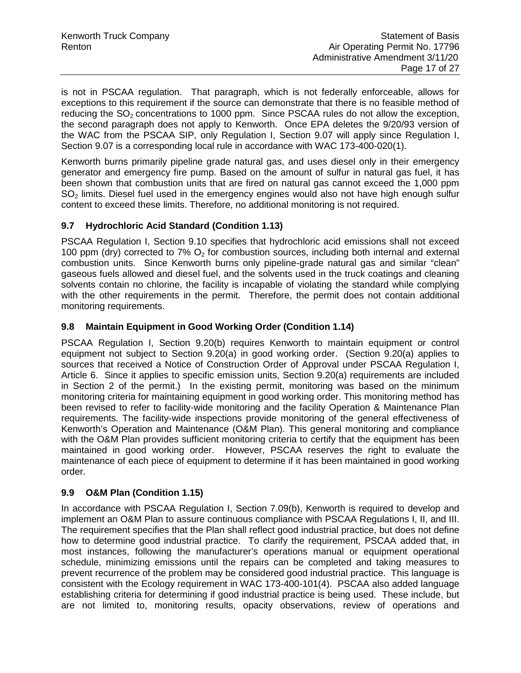is not in PSCAA regulation. That paragraph, which is not federally enforceable, allows for exceptions to this requirement if the source can demonstrate that there is no feasible method of reducing the  $SO<sub>2</sub>$  concentrations to 1000 ppm. Since PSCAA rules do not allow the exception, the second paragraph does not apply to Kenworth. Once EPA deletes the 9/20/93 version of the WAC from the PSCAA SIP, only Regulation I, Section 9.07 will apply since Regulation I, Section 9.07 is a corresponding local rule in accordance with WAC 173-400-020(1).

Kenworth burns primarily pipeline grade natural gas, and uses diesel only in their emergency generator and emergency fire pump. Based on the amount of sulfur in natural gas fuel, it has been shown that combustion units that are fired on natural gas cannot exceed the 1,000 ppm  $SO<sub>2</sub>$  limits. Diesel fuel used in the emergency engines would also not have high enough sulfur content to exceed these limits. Therefore, no additional monitoring is not required.

### **9.7 Hydrochloric Acid Standard (Condition 1.13)**

PSCAA Regulation I, Section 9.10 specifies that hydrochloric acid emissions shall not exceed 100 ppm (dry) corrected to 7%  $O<sub>2</sub>$  for combustion sources, including both internal and external combustion units. Since Kenworth burns only pipeline-grade natural gas and similar "clean" gaseous fuels allowed and diesel fuel, and the solvents used in the truck coatings and cleaning solvents contain no chlorine, the facility is incapable of violating the standard while complying with the other requirements in the permit. Therefore, the permit does not contain additional monitoring requirements.

### **9.8 Maintain Equipment in Good Working Order (Condition 1.14)**

PSCAA Regulation I, Section 9.20(b) requires Kenworth to maintain equipment or control equipment not subject to Section 9.20(a) in good working order. (Section 9.20(a) applies to sources that received a Notice of Construction Order of Approval under PSCAA Regulation I, Article 6. Since it applies to specific emission units, Section 9.20(a) requirements are included in Section 2 of the permit.) In the existing permit, monitoring was based on the minimum monitoring criteria for maintaining equipment in good working order. This monitoring method has been revised to refer to facility-wide monitoring and the facility Operation & Maintenance Plan requirements. The facility-wide inspections provide monitoring of the general effectiveness of Kenworth's Operation and Maintenance (O&M Plan). This general monitoring and compliance with the O&M Plan provides sufficient monitoring criteria to certify that the equipment has been maintained in good working order. However, PSCAA reserves the right to evaluate the maintenance of each piece of equipment to determine if it has been maintained in good working order.

#### **9.9 O&M Plan (Condition 1.15)**

In accordance with PSCAA Regulation I, Section 7.09(b), Kenworth is required to develop and implement an O&M Plan to assure continuous compliance with PSCAA Regulations I, II, and III. The requirement specifies that the Plan shall reflect good industrial practice, but does not define how to determine good industrial practice. To clarify the requirement, PSCAA added that, in most instances, following the manufacturer's operations manual or equipment operational schedule, minimizing emissions until the repairs can be completed and taking measures to prevent recurrence of the problem may be considered good industrial practice. This language is consistent with the Ecology requirement in WAC 173-400-101(4). PSCAA also added language establishing criteria for determining if good industrial practice is being used. These include, but are not limited to, monitoring results, opacity observations, review of operations and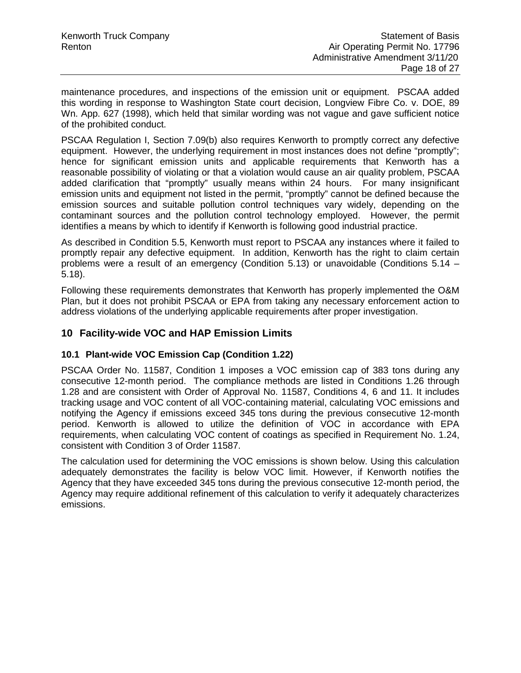maintenance procedures, and inspections of the emission unit or equipment. PSCAA added this wording in response to Washington State court decision, Longview Fibre Co. v. DOE, 89 Wn. App. 627 (1998), which held that similar wording was not vague and gave sufficient notice of the prohibited conduct.

PSCAA Regulation I, Section 7.09(b) also requires Kenworth to promptly correct any defective equipment. However, the underlying requirement in most instances does not define "promptly"; hence for significant emission units and applicable requirements that Kenworth has a reasonable possibility of violating or that a violation would cause an air quality problem, PSCAA added clarification that "promptly" usually means within 24 hours. For many insignificant emission units and equipment not listed in the permit, "promptly" cannot be defined because the emission sources and suitable pollution control techniques vary widely, depending on the contaminant sources and the pollution control technology employed. However, the permit identifies a means by which to identify if Kenworth is following good industrial practice.

As described in Condition 5.5, Kenworth must report to PSCAA any instances where it failed to promptly repair any defective equipment. In addition, Kenworth has the right to claim certain problems were a result of an emergency (Condition 5.13) or unavoidable (Conditions 5.14 – 5.18).

Following these requirements demonstrates that Kenworth has properly implemented the O&M Plan, but it does not prohibit PSCAA or EPA from taking any necessary enforcement action to address violations of the underlying applicable requirements after proper investigation.

# **10 Facility-wide VOC and HAP Emission Limits**

# **10.1 Plant-wide VOC Emission Cap (Condition 1.22)**

PSCAA Order No. 11587, Condition 1 imposes a VOC emission cap of 383 tons during any consecutive 12-month period. The compliance methods are listed in Conditions 1.26 through 1.28 and are consistent with Order of Approval No. 11587, Conditions 4, 6 and 11. It includes tracking usage and VOC content of all VOC-containing material, calculating VOC emissions and notifying the Agency if emissions exceed 345 tons during the previous consecutive 12-month period. Kenworth is allowed to utilize the definition of VOC in accordance with EPA requirements, when calculating VOC content of coatings as specified in Requirement No. 1.24, consistent with Condition 3 of Order 11587.

The calculation used for determining the VOC emissions is shown below. Using this calculation adequately demonstrates the facility is below VOC limit. However, if Kenworth notifies the Agency that they have exceeded 345 tons during the previous consecutive 12-month period, the Agency may require additional refinement of this calculation to verify it adequately characterizes emissions.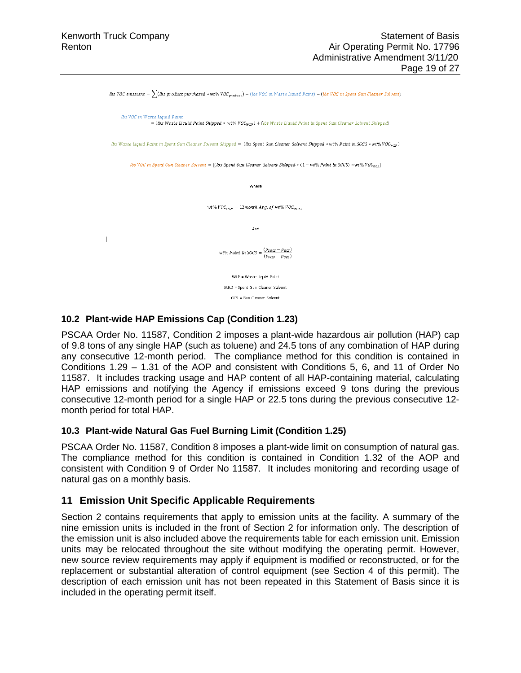lbs VOC emssions =  $\sum$  (lbs product purchased \* wt% VOC  $_{product}$ ) = (lbs VOC in Waste Liquid Paint) = (lbs VOC in Spent Gun Cleaner Solvent) lbs VOC in Waste Liquid Paint = (lbs Waste Liquid Paint Shipped \* wt%  $VOC_{W\!L\!P}$ ) + (lbs Waste Liquid Paint in Spent Gun Cleaner Solvent Shipped) lbs Waste Liquid Paint in Spent Gun Cleaner Solvent Shipped = (lbs Spent Gun Cleaner Solvent Shipped \* wt% Paint in SGCS \* wt% VOCwrn) lbs VOC in Spent Gun Cleaner Solvent = [(lbs Spent Gun Cleaner Solvent Shipped \*  $(1 - wt\% \text{ Paint in } SGCS)$  \* wt $\% \text{ VOC}_{\text{scr}}$ ] Where wt%  $VOC_{WLP} = 12$ month Avg. of wt%  $VOC_{value}$ And  $\mathbf{I}$ wt% Paint in SGCS =  $\frac{(\rho_{SGCS} - \rho_{GCS})}{(\rho_{SGCS} - \rho_{GCS})}$  $(\rho_{WLP} - \rho_{GCS})$ WLP = Waste Liquid Paint SGCS = Spent Gun Cleaner Solvent GCS = Gun Cleaner Solvent

#### **10.2 Plant-wide HAP Emissions Cap (Condition 1.23)**

PSCAA Order No. 11587, Condition 2 imposes a plant-wide hazardous air pollution (HAP) cap of 9.8 tons of any single HAP (such as toluene) and 24.5 tons of any combination of HAP during any consecutive 12-month period. The compliance method for this condition is contained in Conditions 1.29 – 1.31 of the AOP and consistent with Conditions 5, 6, and 11 of Order No 11587. It includes tracking usage and HAP content of all HAP-containing material, calculating HAP emissions and notifying the Agency if emissions exceed 9 tons during the previous consecutive 12-month period for a single HAP or 22.5 tons during the previous consecutive 12 month period for total HAP.

#### **10.3 Plant-wide Natural Gas Fuel Burning Limit (Condition 1.25)**

PSCAA Order No. 11587, Condition 8 imposes a plant-wide limit on consumption of natural gas. The compliance method for this condition is contained in Condition 1.32 of the AOP and consistent with Condition 9 of Order No 11587. It includes monitoring and recording usage of natural gas on a monthly basis.

#### **11 Emission Unit Specific Applicable Requirements**

Section 2 contains requirements that apply to emission units at the facility. A summary of the nine emission units is included in the front of Section 2 for information only. The description of the emission unit is also included above the requirements table for each emission unit. Emission units may be relocated throughout the site without modifying the operating permit. However, new source review requirements may apply if equipment is modified or reconstructed, or for the replacement or substantial alteration of control equipment (see Section 4 of this permit). The description of each emission unit has not been repeated in this Statement of Basis since it is included in the operating permit itself.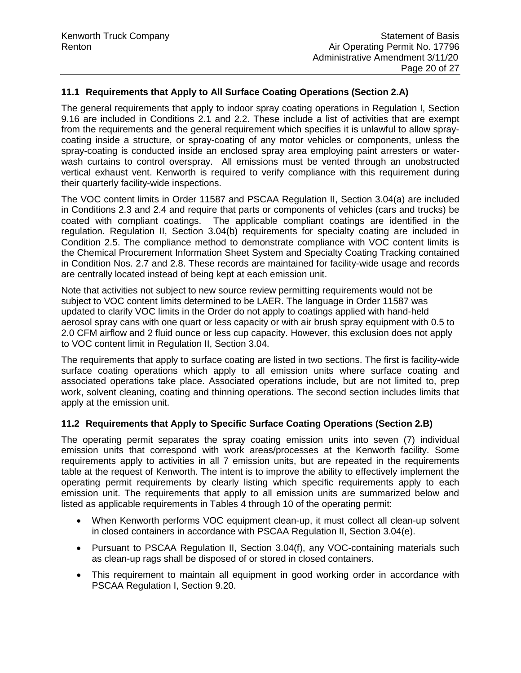### **11.1 Requirements that Apply to All Surface Coating Operations (Section 2.A)**

The general requirements that apply to indoor spray coating operations in Regulation I, Section 9.16 are included in Conditions 2.1 and 2.2. These include a list of activities that are exempt from the requirements and the general requirement which specifies it is unlawful to allow spraycoating inside a structure, or spray-coating of any motor vehicles or components, unless the spray-coating is conducted inside an enclosed spray area employing paint arresters or waterwash curtains to control overspray. All emissions must be vented through an unobstructed vertical exhaust vent. Kenworth is required to verify compliance with this requirement during their quarterly facility-wide inspections.

The VOC content limits in Order 11587 and PSCAA Regulation II, Section 3.04(a) are included in Conditions 2.3 and 2.4 and require that parts or components of vehicles (cars and trucks) be coated with compliant coatings. The applicable compliant coatings are identified in the regulation. Regulation II, Section 3.04(b) requirements for specialty coating are included in Condition 2.5. The compliance method to demonstrate compliance with VOC content limits is the Chemical Procurement Information Sheet System and Specialty Coating Tracking contained in Condition Nos. 2.7 and 2.8. These records are maintained for facility-wide usage and records are centrally located instead of being kept at each emission unit.

Note that activities not subject to new source review permitting requirements would not be subject to VOC content limits determined to be LAER. The language in Order 11587 was updated to clarify VOC limits in the Order do not apply to coatings applied with hand-held aerosol spray cans with one quart or less capacity or with air brush spray equipment with 0.5 to 2.0 CFM airflow and 2 fluid ounce or less cup capacity. However, this exclusion does not apply to VOC content limit in Regulation II, Section 3.04.

The requirements that apply to surface coating are listed in two sections. The first is facility-wide surface coating operations which apply to all emission units where surface coating and associated operations take place. Associated operations include, but are not limited to, prep work, solvent cleaning, coating and thinning operations. The second section includes limits that apply at the emission unit.

#### **11.2 Requirements that Apply to Specific Surface Coating Operations (Section 2.B)**

The operating permit separates the spray coating emission units into seven (7) individual emission units that correspond with work areas/processes at the Kenworth facility. Some requirements apply to activities in all 7 emission units, but are repeated in the requirements table at the request of Kenworth. The intent is to improve the ability to effectively implement the operating permit requirements by clearly listing which specific requirements apply to each emission unit. The requirements that apply to all emission units are summarized below and listed as applicable requirements in Tables 4 through 10 of the operating permit:

- When Kenworth performs VOC equipment clean-up, it must collect all clean-up solvent in closed containers in accordance with PSCAA Regulation II, Section 3.04(e).
- Pursuant to PSCAA Regulation II, Section 3.04(f), any VOC-containing materials such as clean-up rags shall be disposed of or stored in closed containers.
- This requirement to maintain all equipment in good working order in accordance with PSCAA Regulation I, Section 9.20.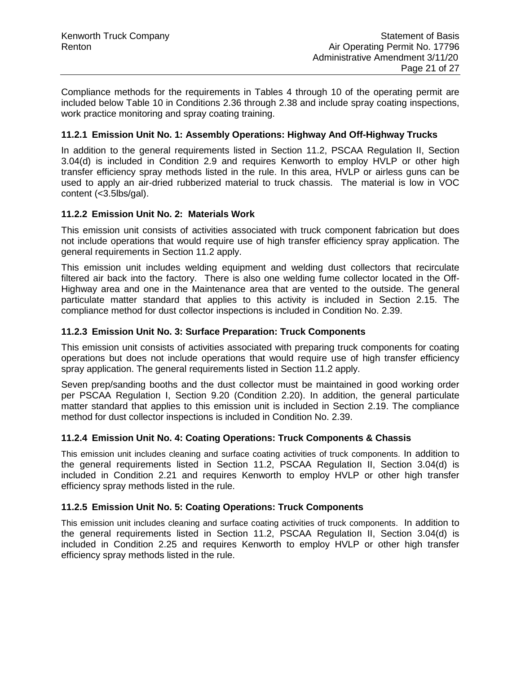Compliance methods for the requirements in Tables 4 through 10 of the operating permit are included below Table 10 in Conditions 2.36 through 2.38 and include spray coating inspections, work practice monitoring and spray coating training.

#### **11.2.1 Emission Unit No. 1: Assembly Operations: Highway And Off-Highway Trucks**

In addition to the general requirements listed in Section 11.2, PSCAA Regulation II, Section 3.04(d) is included in Condition 2.9 and requires Kenworth to employ HVLP or other high transfer efficiency spray methods listed in the rule. In this area, HVLP or airless guns can be used to apply an air-dried rubberized material to truck chassis. The material is low in VOC content (<3.5lbs/gal).

#### **11.2.2 Emission Unit No. 2: Materials Work**

This emission unit consists of activities associated with truck component fabrication but does not include operations that would require use of high transfer efficiency spray application. The general requirements in Section 11.2 apply.

This emission unit includes welding equipment and welding dust collectors that recirculate filtered air back into the factory. There is also one welding fume collector located in the Off-Highway area and one in the Maintenance area that are vented to the outside. The general particulate matter standard that applies to this activity is included in Section 2.15. The compliance method for dust collector inspections is included in Condition No. 2.39.

#### **11.2.3 Emission Unit No. 3: Surface Preparation: Truck Components**

This emission unit consists of activities associated with preparing truck components for coating operations but does not include operations that would require use of high transfer efficiency spray application. The general requirements listed in Section 11.2 apply.

Seven prep/sanding booths and the dust collector must be maintained in good working order per PSCAA Regulation I, Section 9.20 (Condition 2.20). In addition, the general particulate matter standard that applies to this emission unit is included in Section 2.19. The compliance method for dust collector inspections is included in Condition No. 2.39.

#### **11.2.4 Emission Unit No. 4: Coating Operations: Truck Components & Chassis**

This emission unit includes cleaning and surface coating activities of truck components. In addition to the general requirements listed in Section 11.2, PSCAA Regulation II, Section 3.04(d) is included in Condition 2.21 and requires Kenworth to employ HVLP or other high transfer efficiency spray methods listed in the rule.

#### **11.2.5 Emission Unit No. 5: Coating Operations: Truck Components**

This emission unit includes cleaning and surface coating activities of truck components. In addition to the general requirements listed in Section 11.2, PSCAA Regulation II, Section 3.04(d) is included in Condition 2.25 and requires Kenworth to employ HVLP or other high transfer efficiency spray methods listed in the rule.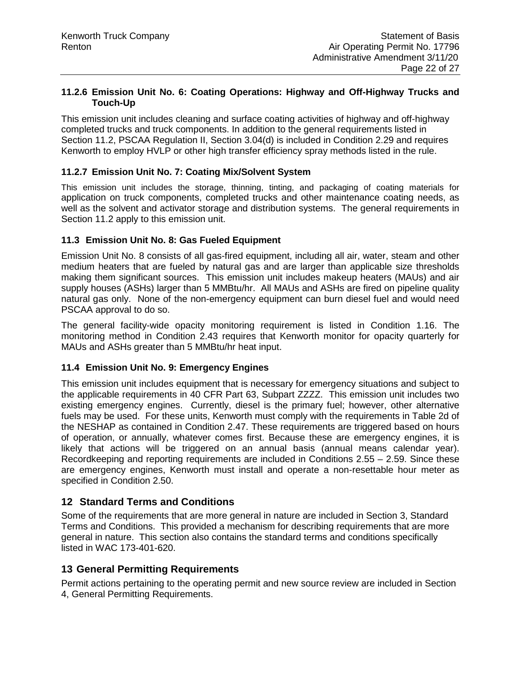#### **11.2.6 Emission Unit No. 6: Coating Operations: Highway and Off-Highway Trucks and Touch-Up**

This emission unit includes cleaning and surface coating activities of highway and off-highway completed trucks and truck components. In addition to the general requirements listed in Section 11.2, PSCAA Regulation II, Section 3.04(d) is included in Condition 2.29 and requires Kenworth to employ HVLP or other high transfer efficiency spray methods listed in the rule.

### **11.2.7 Emission Unit No. 7: Coating Mix/Solvent System**

This emission unit includes the storage, thinning, tinting, and packaging of coating materials for application on truck components, completed trucks and other maintenance coating needs, as well as the solvent and activator storage and distribution systems. The general requirements in Section 11.2 apply to this emission unit.

#### **11.3 Emission Unit No. 8: Gas Fueled Equipment**

Emission Unit No. 8 consists of all gas-fired equipment, including all air, water, steam and other medium heaters that are fueled by natural gas and are larger than applicable size thresholds making them significant sources. This emission unit includes makeup heaters (MAUs) and air supply houses (ASHs) larger than 5 MMBtu/hr. All MAUs and ASHs are fired on pipeline quality natural gas only. None of the non-emergency equipment can burn diesel fuel and would need PSCAA approval to do so.

The general facility-wide opacity monitoring requirement is listed in Condition 1.16. The monitoring method in Condition 2.43 requires that Kenworth monitor for opacity quarterly for MAUs and ASHs greater than 5 MMBtu/hr heat input.

#### **11.4 Emission Unit No. 9: Emergency Engines**

This emission unit includes equipment that is necessary for emergency situations and subject to the applicable requirements in 40 CFR Part 63, Subpart ZZZZ. This emission unit includes two existing emergency engines. Currently, diesel is the primary fuel; however, other alternative fuels may be used. For these units, Kenworth must comply with the requirements in Table 2d of the NESHAP as contained in Condition 2.47. These requirements are triggered based on hours of operation, or annually, whatever comes first. Because these are emergency engines, it is likely that actions will be triggered on an annual basis (annual means calendar year). Recordkeeping and reporting requirements are included in Conditions 2.55 – 2.59. Since these are emergency engines, Kenworth must install and operate a non-resettable hour meter as specified in Condition 2.50.

# **12 Standard Terms and Conditions**

Some of the requirements that are more general in nature are included in Section 3, Standard Terms and Conditions. This provided a mechanism for describing requirements that are more general in nature. This section also contains the standard terms and conditions specifically listed in WAC 173-401-620.

# **13 General Permitting Requirements**

Permit actions pertaining to the operating permit and new source review are included in Section 4, General Permitting Requirements.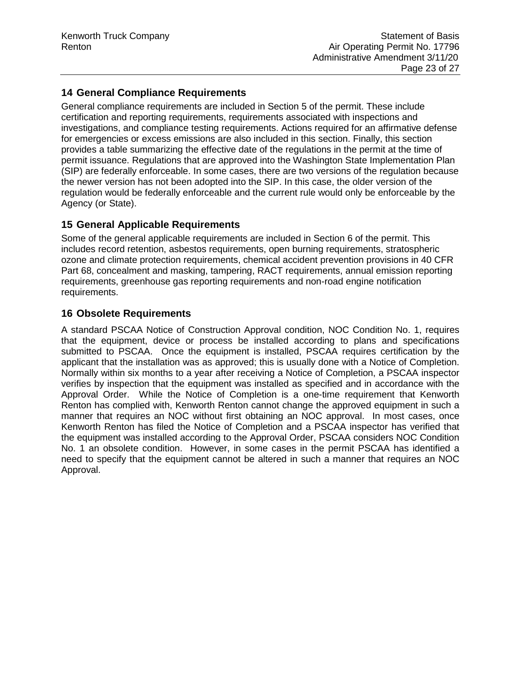# **14 General Compliance Requirements**

General compliance requirements are included in Section 5 of the permit. These include certification and reporting requirements, requirements associated with inspections and investigations, and compliance testing requirements. Actions required for an affirmative defense for emergencies or excess emissions are also included in this section. Finally, this section provides a table summarizing the effective date of the regulations in the permit at the time of permit issuance. Regulations that are approved into the Washington State Implementation Plan (SIP) are federally enforceable. In some cases, there are two versions of the regulation because the newer version has not been adopted into the SIP. In this case, the older version of the regulation would be federally enforceable and the current rule would only be enforceable by the Agency (or State).

# **15 General Applicable Requirements**

Some of the general applicable requirements are included in Section 6 of the permit. This includes record retention, asbestos requirements, open burning requirements, stratospheric ozone and climate protection requirements, chemical accident prevention provisions in 40 CFR Part 68, concealment and masking, tampering, RACT requirements, annual emission reporting requirements, greenhouse gas reporting requirements and non-road engine notification requirements.

# **16 Obsolete Requirements**

A standard PSCAA Notice of Construction Approval condition, NOC Condition No. 1, requires that the equipment, device or process be installed according to plans and specifications submitted to PSCAA. Once the equipment is installed, PSCAA requires certification by the applicant that the installation was as approved; this is usually done with a Notice of Completion. Normally within six months to a year after receiving a Notice of Completion, a PSCAA inspector verifies by inspection that the equipment was installed as specified and in accordance with the Approval Order. While the Notice of Completion is a one-time requirement that Kenworth Renton has complied with, Kenworth Renton cannot change the approved equipment in such a manner that requires an NOC without first obtaining an NOC approval. In most cases, once Kenworth Renton has filed the Notice of Completion and a PSCAA inspector has verified that the equipment was installed according to the Approval Order, PSCAA considers NOC Condition No. 1 an obsolete condition. However, in some cases in the permit PSCAA has identified a need to specify that the equipment cannot be altered in such a manner that requires an NOC Approval.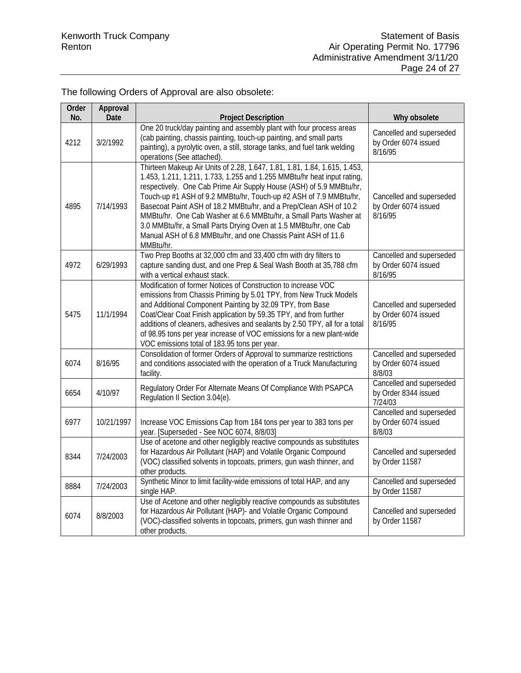# The following Orders of Approval are also obsolete:

| Order<br>No. | Approval<br>Date | <b>Project Description</b>                                                                                                                                                                                                                                                                                                                                                                                                                                                                                                                                                                   | Why obsolete                                                |
|--------------|------------------|----------------------------------------------------------------------------------------------------------------------------------------------------------------------------------------------------------------------------------------------------------------------------------------------------------------------------------------------------------------------------------------------------------------------------------------------------------------------------------------------------------------------------------------------------------------------------------------------|-------------------------------------------------------------|
| 4212         | 3/2/1992         | One 20 truck/day painting and assembly plant with four process areas<br>(cab painting, chassis painting, touch-up painting, and small parts<br>painting), a pyrolytic oven, a still, storage tanks, and fuel tank welding<br>operations (See attached).                                                                                                                                                                                                                                                                                                                                      | Cancelled and superseded<br>by Order 6074 issued<br>8/16/95 |
| 4895         | 7/14/1993        | Thirteen Makeup Air Units of 2.28, 1.647, 1.81, 1.81, 1.84, 1.615, 1.453,<br>1.453, 1.211, 1.211, 1.733, 1.255 and 1.255 MMBtu/hr heat input rating,<br>respectively. One Cab Prime Air Supply House (ASH) of 5.9 MMBtu/hr,<br>Touch-up #1 ASH of 9.2 MMBtu/hr, Touch-up #2 ASH of 7.9 MMBtu/hr,<br>Basecoat Paint ASH of 18.2 MMBtu/hr, and a Prep/Clean ASH of 10.2<br>MMBtu/hr. One Cab Washer at 6.6 MMBtu/hr, a Small Parts Washer at<br>3.0 MMBtu/hr, a Small Parts Drying Oven at 1.5 MMBtu/hr, one Cab<br>Manual ASH of 6.8 MMBtu/hr, and one Chassis Paint ASH of 11.6<br>MMBtu/hr. | Cancelled and superseded<br>by Order 6074 issued<br>8/16/95 |
| 4972         | 6/29/1993        | Two Prep Booths at 32,000 cfm and 33,400 cfm with dry filters to<br>capture sanding dust, and one Prep & Seal Wash Booth at 35,788 cfm<br>with a vertical exhaust stack.                                                                                                                                                                                                                                                                                                                                                                                                                     | Cancelled and superseded<br>by Order 6074 issued<br>8/16/95 |
| 5475         | 11/1/1994        | Modification of former Notices of Construction to increase VOC<br>emissions from Chassis Priming by 5.01 TPY, from New Truck Models<br>and Additional Component Painting by 32.09 TPY, from Base<br>Coat/Clear Coat Finish application by 59.35 TPY, and from further<br>additions of cleaners, adhesives and sealants by 2.50 TPY, all for a total<br>of 98.95 tons per year increase of VOC emissions for a new plant-wide<br>VOC emissions total of 183.95 tons per year.                                                                                                                 | Cancelled and superseded<br>by Order 6074 issued<br>8/16/95 |
| 6074         | 8/16/95          | Consolidation of former Orders of Approval to summarize restrictions<br>and conditions associated with the operation of a Truck Manufacturing<br>facility.                                                                                                                                                                                                                                                                                                                                                                                                                                   | Cancelled and superseded<br>by Order 6074 issued<br>8/8/03  |
| 6654         | 4/10/97          | Regulatory Order For Alternate Means Of Compliance With PSAPCA<br>Regulation II Section 3.04(e).                                                                                                                                                                                                                                                                                                                                                                                                                                                                                             | Cancelled and superseded<br>by Order 8344 issued<br>7/24/03 |
| 6977         | 10/21/1997       | Increase VOC Emissions Cap from 184 tons per year to 383 tons per<br>year. [Superseded - See NOC 6074, 8/8/03]                                                                                                                                                                                                                                                                                                                                                                                                                                                                               | Cancelled and superseded<br>by Order 6074 issued<br>8/8/03  |
| 8344         | 7/24/2003        | Use of acetone and other negligibly reactive compounds as substitutes<br>for Hazardous Air Pollutant (HAP) and Volatile Organic Compound<br>(VOC) classified solvents in topcoats, primers, gun wash thinner, and<br>other products.                                                                                                                                                                                                                                                                                                                                                         | Cancelled and superseded<br>by Order 11587                  |
| 8884         | 7/24/2003        | Synthetic Minor to limit facility-wide emissions of total HAP, and any<br>single HAP.                                                                                                                                                                                                                                                                                                                                                                                                                                                                                                        | Cancelled and superseded<br>by Order 11587                  |
| 6074         | 8/8/2003         | Use of Acetone and other negligibly reactive compounds as substitutes<br>for Hazardous Air Pollutant (HAP)- and Volatile Organic Compound<br>(VOC)-classified solvents in topcoats, primers, gun wash thinner and<br>other products.                                                                                                                                                                                                                                                                                                                                                         | Cancelled and superseded<br>by Order 11587                  |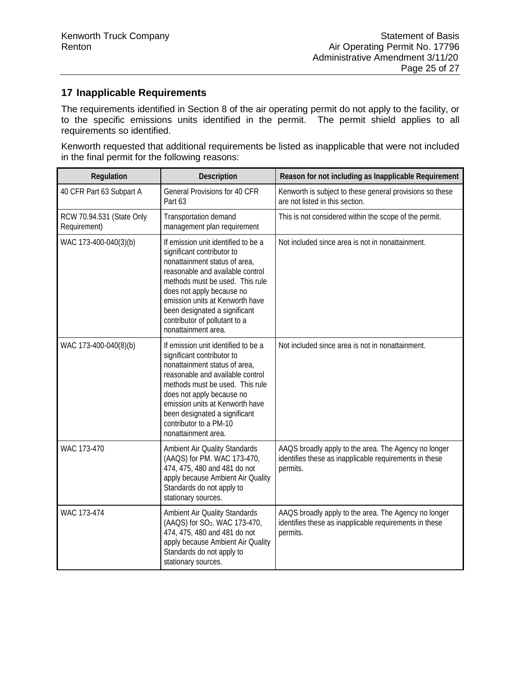# **17 Inapplicable Requirements**

The requirements identified in Section 8 of the air operating permit do not apply to the facility, or to the specific emissions units identified in the permit. The permit shield applies to all requirements so identified.

Kenworth requested that additional requirements be listed as inapplicable that were not included in the final permit for the following reasons:

| Regulation                                | Description                                                                                                                                                                                                                                                                                                                        | Reason for not including as Inapplicable Requirement                                                                       |
|-------------------------------------------|------------------------------------------------------------------------------------------------------------------------------------------------------------------------------------------------------------------------------------------------------------------------------------------------------------------------------------|----------------------------------------------------------------------------------------------------------------------------|
| 40 CFR Part 63 Subpart A                  | General Provisions for 40 CFR<br>Part 63                                                                                                                                                                                                                                                                                           | Kenworth is subject to these general provisions so these<br>are not listed in this section.                                |
| RCW 70.94.531 (State Only<br>Requirement) | Transportation demand<br>management plan requirement                                                                                                                                                                                                                                                                               | This is not considered within the scope of the permit.                                                                     |
| WAC 173-400-040(3)(b)                     | If emission unit identified to be a<br>significant contributor to<br>nonattainment status of area,<br>reasonable and available control<br>methods must be used. This rule<br>does not apply because no<br>emission units at Kenworth have<br>been designated a significant<br>contributor of pollutant to a<br>nonattainment area. | Not included since area is not in nonattainment.                                                                           |
| WAC 173-400-040(8)(b)                     | If emission unit identified to be a<br>significant contributor to<br>nonattainment status of area,<br>reasonable and available control<br>methods must be used. This rule<br>does not apply because no<br>emission units at Kenworth have<br>been designated a significant<br>contributor to a PM-10<br>nonattainment area.        | Not included since area is not in nonattainment.                                                                           |
| WAC 173-470                               | Ambient Air Quality Standards<br>(AAQS) for PM. WAC 173-470,<br>474, 475, 480 and 481 do not<br>apply because Ambient Air Quality<br>Standards do not apply to<br>stationary sources.                                                                                                                                              | AAQS broadly apply to the area. The Agency no longer<br>identifies these as inapplicable requirements in these<br>permits. |
| WAC 173-474                               | Ambient Air Quality Standards<br>(AAQS) for SO <sub>2</sub> . WAC 173-470,<br>474, 475, 480 and 481 do not<br>apply because Ambient Air Quality<br>Standards do not apply to<br>stationary sources.                                                                                                                                | AAQS broadly apply to the area. The Agency no longer<br>identifies these as inapplicable requirements in these<br>permits. |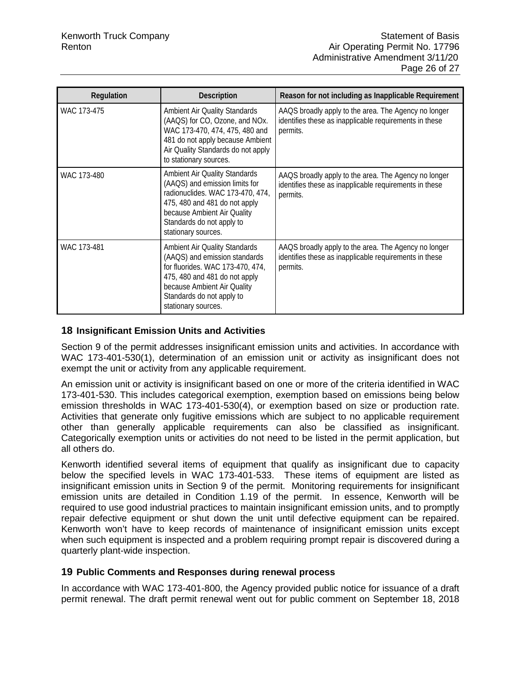| Regulation  | <b>Description</b>                                                                                                                                                                                                             | Reason for not including as Inapplicable Requirement                                                                       |
|-------------|--------------------------------------------------------------------------------------------------------------------------------------------------------------------------------------------------------------------------------|----------------------------------------------------------------------------------------------------------------------------|
| WAC 173-475 | <b>Ambient Air Quality Standards</b><br>(AAQS) for CO, Ozone, and NOx.<br>WAC 173-470, 474, 475, 480 and<br>481 do not apply because Ambient<br>Air Quality Standards do not apply<br>to stationary sources.                   | AAQS broadly apply to the area. The Agency no longer<br>identifies these as inapplicable requirements in these<br>permits. |
| WAC 173-480 | <b>Ambient Air Quality Standards</b><br>(AAQS) and emission limits for<br>radionuclides. WAC 173-470, 474,<br>475, 480 and 481 do not apply<br>because Ambient Air Quality<br>Standards do not apply to<br>stationary sources. | AAQS broadly apply to the area. The Agency no longer<br>identifies these as inapplicable requirements in these<br>permits. |
| WAC 173-481 | <b>Ambient Air Quality Standards</b><br>(AAQS) and emission standards<br>for fluorides. WAC 173-470, 474,<br>475, 480 and 481 do not apply<br>because Ambient Air Quality<br>Standards do not apply to<br>stationary sources.  | AAQS broadly apply to the area. The Agency no longer<br>identifies these as inapplicable requirements in these<br>permits. |

#### **18 Insignificant Emission Units and Activities**

Section 9 of the permit addresses insignificant emission units and activities. In accordance with WAC 173-401-530(1), determination of an emission unit or activity as insignificant does not exempt the unit or activity from any applicable requirement.

An emission unit or activity is insignificant based on one or more of the criteria identified in WAC 173-401-530. This includes categorical exemption, exemption based on emissions being below emission thresholds in WAC 173-401-530(4), or exemption based on size or production rate. Activities that generate only fugitive emissions which are subject to no applicable requirement other than generally applicable requirements can also be classified as insignificant. Categorically exemption units or activities do not need to be listed in the permit application, but all others do.

Kenworth identified several items of equipment that qualify as insignificant due to capacity below the specified levels in WAC 173-401-533. These items of equipment are listed as insignificant emission units in Section 9 of the permit. Monitoring requirements for insignificant emission units are detailed in Condition 1.19 of the permit. In essence, Kenworth will be required to use good industrial practices to maintain insignificant emission units, and to promptly repair defective equipment or shut down the unit until defective equipment can be repaired. Kenworth won't have to keep records of maintenance of insignificant emission units except when such equipment is inspected and a problem requiring prompt repair is discovered during a quarterly plant-wide inspection.

#### **19 Public Comments and Responses during renewal process**

In accordance with WAC 173-401-800, the Agency provided public notice for issuance of a draft permit renewal. The draft permit renewal went out for public comment on September 18, 2018